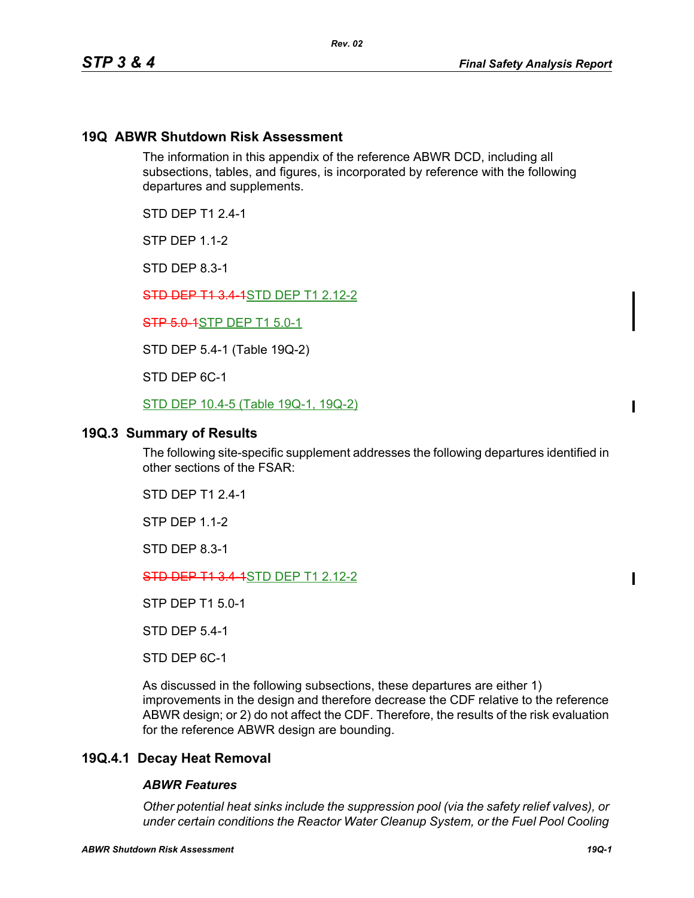## **19Q ABWR Shutdown Risk Assessment**

The information in this appendix of the reference ABWR DCD, including all subsections, tables, and figures, is incorporated by reference with the following departures and supplements.

STD DEP T1 2.4-1

**STP DFP 1 1-2** 

STD DEP 8.3-1

**STD DEP T1 3.4 1**STD DEP T1 2.12-2

**STP 5.0-1STP DEP T1 5.0-1** 

STD DEP 5.4-1 (Table 19Q-2)

STD DEP 6C-1

STD DEP 10.4-5 (Table 19Q-1, 19Q-2)

### **19Q.3 Summary of Results**

The following site-specific supplement addresses the following departures identified in other sections of the FSAR:

STD DEP T1 2.4-1

STP DEP 1.1-2

STD DEP 8.3-1

STD DEP T1 3.4-1STD DEP T1 2.12-2

STP DEP T1 5.0-1

STD DEP 5.4-1

STD DEP 6C-1

As discussed in the following subsections, these departures are either 1) improvements in the design and therefore decrease the CDF relative to the reference ABWR design; or 2) do not affect the CDF. Therefore, the results of the risk evaluation for the reference ABWR design are bounding.

## **19Q.4.1 Decay Heat Removal**

#### *ABWR Features*

*Other potential heat sinks include the suppression pool (via the safety relief valves), or under certain conditions the Reactor Water Cleanup System, or the Fuel Pool Cooling*   $\blacksquare$ 

П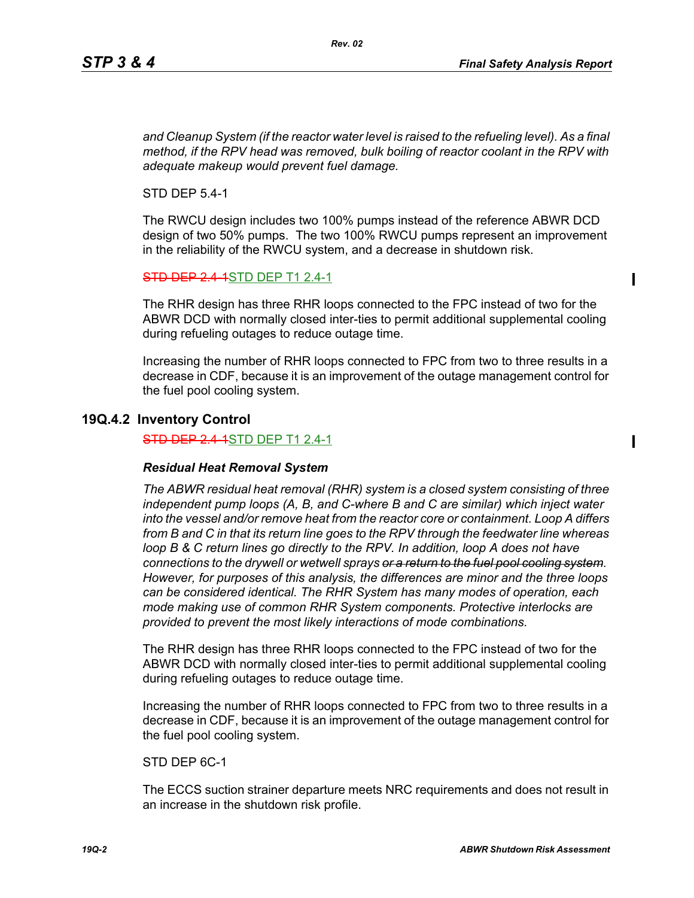П

Ι

and Cleanup System (if the reactor water level is raised to the refueling level). As a final *method, if the RPV head was removed, bulk boiling of reactor coolant in the RPV with adequate makeup would prevent fuel damage.*

STD DEP 5.4-1

The RWCU design includes two 100% pumps instead of the reference ABWR DCD design of two 50% pumps. The two 100% RWCU pumps represent an improvement in the reliability of the RWCU system, and a decrease in shutdown risk.

**STD DEP 2.4-1STD DEP T1 2.4-1** 

The RHR design has three RHR loops connected to the FPC instead of two for the ABWR DCD with normally closed inter-ties to permit additional supplemental cooling during refueling outages to reduce outage time.

Increasing the number of RHR loops connected to FPC from two to three results in a decrease in CDF, because it is an improvement of the outage management control for the fuel pool cooling system.

## **19Q.4.2 Inventory Control**

**STD DEP 2.4-1STD DEP T1 2.4-1** 

#### *Residual Heat Removal System*

*The ABWR residual heat removal (RHR) system is a closed system consisting of three independent pump loops (A, B, and C-where B and C are similar) which inject water into the vessel and/or remove heat from the reactor core or containment. Loop A differs from B and C in that its return line goes to the RPV through the feedwater line whereas loop B & C return lines go directly to the RPV. In addition, loop A does not have connections to the drywell or wetwell sprays or a return to the fuel pool cooling system. However, for purposes of this analysis, the differences are minor and the three loops can be considered identical. The RHR System has many modes of operation, each mode making use of common RHR System components. Protective interlocks are provided to prevent the most likely interactions of mode combinations.*

The RHR design has three RHR loops connected to the FPC instead of two for the ABWR DCD with normally closed inter-ties to permit additional supplemental cooling during refueling outages to reduce outage time.

Increasing the number of RHR loops connected to FPC from two to three results in a decrease in CDF, because it is an improvement of the outage management control for the fuel pool cooling system.

STD DEP 6C-1

The ECCS suction strainer departure meets NRC requirements and does not result in an increase in the shutdown risk profile.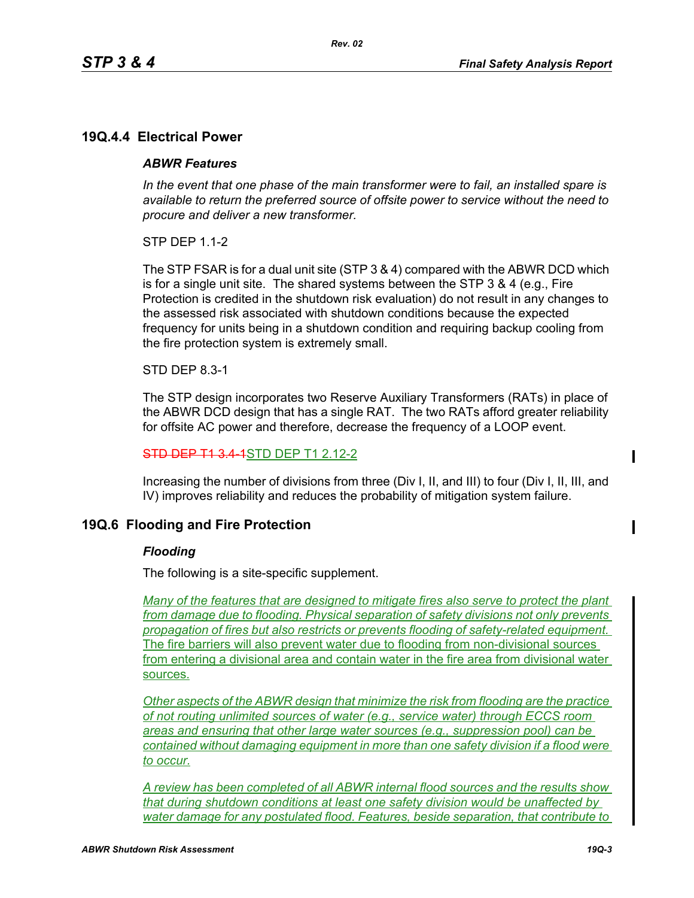## **19Q.4.4 Electrical Power**

### *ABWR Features*

*In the event that one phase of the main transformer were to fail, an installed spare is available to return the preferred source of offsite power to service without the need to procure and deliver a new transformer.*

*Rev. 02*

STP DEP 1.1-2

The STP FSAR is for a dual unit site (STP 3 & 4) compared with the ABWR DCD which is for a single unit site. The shared systems between the STP 3 & 4 (e.g., Fire Protection is credited in the shutdown risk evaluation) do not result in any changes to the assessed risk associated with shutdown conditions because the expected frequency for units being in a shutdown condition and requiring backup cooling from the fire protection system is extremely small.

### STD DEP 8.3-1

The STP design incorporates two Reserve Auxiliary Transformers (RATs) in place of the ABWR DCD design that has a single RAT. The two RATs afford greater reliability for offsite AC power and therefore, decrease the frequency of a LOOP event.

#### STD DEP T1 3.4-1STD DEP T1 2.12-2

Increasing the number of divisions from three (Div I, II, and III) to four (Div I, II, III, and IV) improves reliability and reduces the probability of mitigation system failure.

## **19Q.6 Flooding and Fire Protection**

#### *Flooding*

The following is a site-specific supplement.

*Many of the features that are designed to mitigate fires also serve to protect the plant from damage due to flooding. Physical separation of safety divisions not only prevents propagation of fires but also restricts or prevents flooding of safety-related equipment.*  The fire barriers will also prevent water due to flooding from non-divisional sources from entering a divisional area and contain water in the fire area from divisional water sources.

*Other aspects of the ABWR design that minimize the risk from flooding are the practice of not routing unlimited sources of water (e.g., service water) through ECCS room areas and ensuring that other large water sources (e.g., suppression pool) can be contained without damaging equipment in more than one safety division if a flood were to occur.*

*A review has been completed of all ABWR internal flood sources and the results show that during shutdown conditions at least one safety division would be unaffected by water damage for any postulated flood. Features, beside separation, that contribute to* 

 $\blacksquare$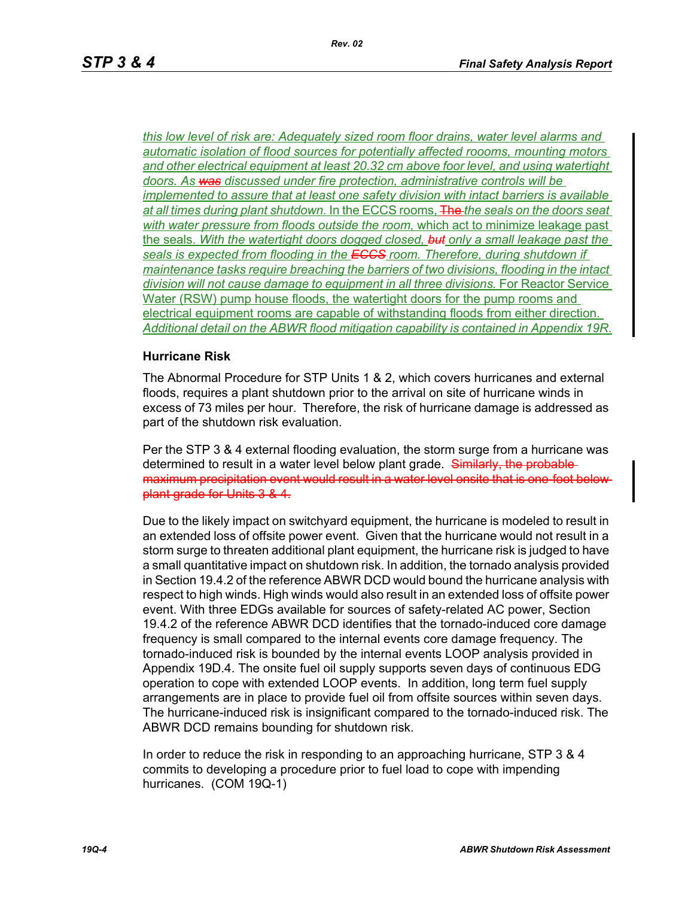*this low level of risk are: Adequately sized room floor drains, water level alarms and automatic isolation of flood sources for potentially affected roooms, mounting motors and other electrical equipment at least 20.32 cm above foor level, and using watertight doors. As was discussed under fire protection, administrative controls will be implemented to assure that at least one safety division with intact barriers is available at all times during plant shutdown.* In the ECCS rooms, The *the seals on the doors seat with water pressure from floods outside the room,* which act to minimize leakage past the seals. *With the watertight doors dogged closed, but only a small leakage past the seals is expected from flooding in the ECCS room. Therefore, during shutdown if maintenance tasks require breaching the barriers of two divisions, flooding in the intact division will not cause damage to equipment in all three divisions.* For Reactor Service Water (RSW) pump house floods, the watertight doors for the pump rooms and electrical equipment rooms are capable of withstanding floods from either direction. *Additional detail on the ABWR flood mitigation capability is contained in Appendix 19R*.

#### **Hurricane Risk**

The Abnormal Procedure for STP Units 1 & 2, which covers hurricanes and external floods, requires a plant shutdown prior to the arrival on site of hurricane winds in excess of 73 miles per hour. Therefore, the risk of hurricane damage is addressed as part of the shutdown risk evaluation.

Per the STP 3 & 4 external flooding evaluation, the storm surge from a hurricane was determined to result in a water level below plant grade. Similarly, the probablemaximum precipitation event would result in a water level onsite that is one-foot below plant grade for Units 3 & 4.

Due to the likely impact on switchyard equipment, the hurricane is modeled to result in an extended loss of offsite power event. Given that the hurricane would not result in a storm surge to threaten additional plant equipment, the hurricane risk is judged to have a small quantitative impact on shutdown risk. In addition, the tornado analysis provided in Section 19.4.2 of the reference ABWR DCD would bound the hurricane analysis with respect to high winds. High winds would also result in an extended loss of offsite power event. With three EDGs available for sources of safety-related AC power, Section 19.4.2 of the reference ABWR DCD identifies that the tornado-induced core damage frequency is small compared to the internal events core damage frequency. The tornado-induced risk is bounded by the internal events LOOP analysis provided in Appendix 19D.4. The onsite fuel oil supply supports seven days of continuous EDG operation to cope with extended LOOP events. In addition, long term fuel supply arrangements are in place to provide fuel oil from offsite sources within seven days. The hurricane-induced risk is insignificant compared to the tornado-induced risk. The ABWR DCD remains bounding for shutdown risk.

In order to reduce the risk in responding to an approaching hurricane, STP 3 & 4 commits to developing a procedure prior to fuel load to cope with impending hurricanes. (COM 19Q-1)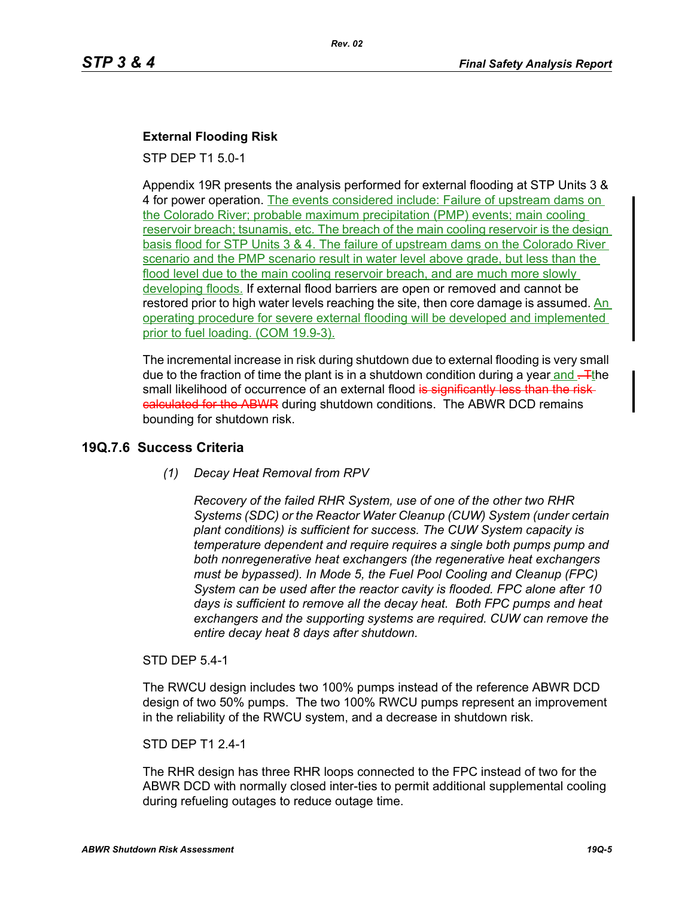## **External Flooding Risk**

STP DEP T1 5.0-1

Appendix 19R presents the analysis performed for external flooding at STP Units 3 & 4 for power operation. The events considered include: Failure of upstream dams on the Colorado River; probable maximum precipitation (PMP) events; main cooling reservoir breach; tsunamis, etc. The breach of the main cooling reservoir is the design basis flood for STP Units 3 & 4. The failure of upstream dams on the Colorado River scenario and the PMP scenario result in water level above grade, but less than the flood level due to the main cooling reservoir breach, and are much more slowly developing floods. If external flood barriers are open or removed and cannot be restored prior to high water levels reaching the site, then core damage is assumed. An operating procedure for severe external flooding will be developed and implemented prior to fuel loading. (COM 19.9-3).

The incremental increase in risk during shutdown due to external flooding is very small due to the fraction of time the plant is in a shutdown condition during a year and  $\frac{1}{r}$ the small likelihood of occurrence of an external flood is significantly less than the riskealculated for the ABWR during shutdown conditions. The ABWR DCD remains bounding for shutdown risk.

## **19Q.7.6 Success Criteria**

## *(1) Decay Heat Removal from RPV*

*Recovery of the failed RHR System, use of one of the other two RHR Systems (SDC) or the Reactor Water Cleanup (CUW) System (under certain plant conditions) is sufficient for success. The CUW System capacity is temperature dependent and require requires a single both pumps pump and both nonregenerative heat exchangers (the regenerative heat exchangers must be bypassed). In Mode 5, the Fuel Pool Cooling and Cleanup (FPC) System can be used after the reactor cavity is flooded. FPC alone after 10 days is sufficient to remove all the decay heat. Both FPC pumps and heat exchangers and the supporting systems are required. CUW can remove the entire decay heat 8 days after shutdown.*

## STD DEP 5.4-1

The RWCU design includes two 100% pumps instead of the reference ABWR DCD design of two 50% pumps. The two 100% RWCU pumps represent an improvement in the reliability of the RWCU system, and a decrease in shutdown risk.

## STD DEP T1 2.4-1

The RHR design has three RHR loops connected to the FPC instead of two for the ABWR DCD with normally closed inter-ties to permit additional supplemental cooling during refueling outages to reduce outage time.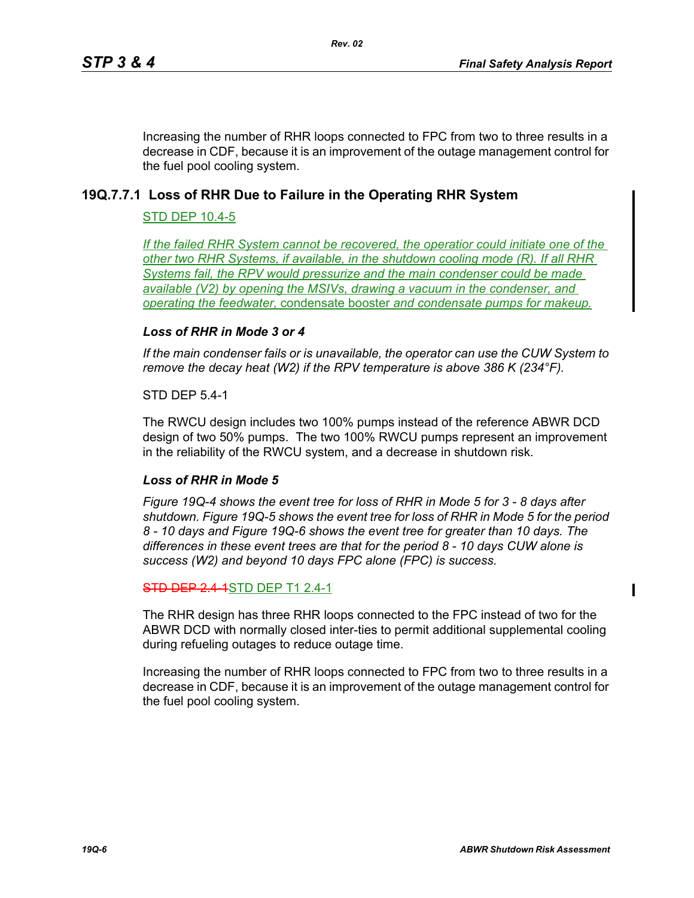Increasing the number of RHR loops connected to FPC from two to three results in a decrease in CDF, because it is an improvement of the outage management control for the fuel pool cooling system.

# **19Q.7.7.1 Loss of RHR Due to Failure in the Operating RHR System**

## STD DEP 10.4-5

*If the failed RHR System cannot be recovered, the operatior could initiate one of the other two RHR Systems, if available, in the shutdown cooling mode (R). If all RHR Systems fail, the RPV would pressurize and the main condenser could be made available (V2) by opening the MSIVs, drawing a vacuum in the condenser, and operating the feedwater,* condensate booster *and condensate pumps for makeup.*

## *Loss of RHR in Mode 3 or 4*

*If the main condenser fails or is unavailable, the operator can use the CUW System to remove the decay heat (W2) if the RPV temperature is above 386 K (234°F).*

## STD DEP 5.4-1

The RWCU design includes two 100% pumps instead of the reference ABWR DCD design of two 50% pumps. The two 100% RWCU pumps represent an improvement in the reliability of the RWCU system, and a decrease in shutdown risk.

## *Loss of RHR in Mode 5*

*Figure 19Q-4 shows the event tree for loss of RHR in Mode 5 for 3 - 8 days after shutdown. Figure 19Q-5 shows the event tree for loss of RHR in Mode 5 for the period 8 - 10 days and Figure 19Q-6 shows the event tree for greater than 10 days. The differences in these event trees are that for the period 8 - 10 days CUW alone is success (W2) and beyond 10 days FPC alone (FPC) is success.*

## **STD DEP 2.4-1STD DEP T1 2.4-1**

The RHR design has three RHR loops connected to the FPC instead of two for the ABWR DCD with normally closed inter-ties to permit additional supplemental cooling during refueling outages to reduce outage time.

Increasing the number of RHR loops connected to FPC from two to three results in a decrease in CDF, because it is an improvement of the outage management control for the fuel pool cooling system.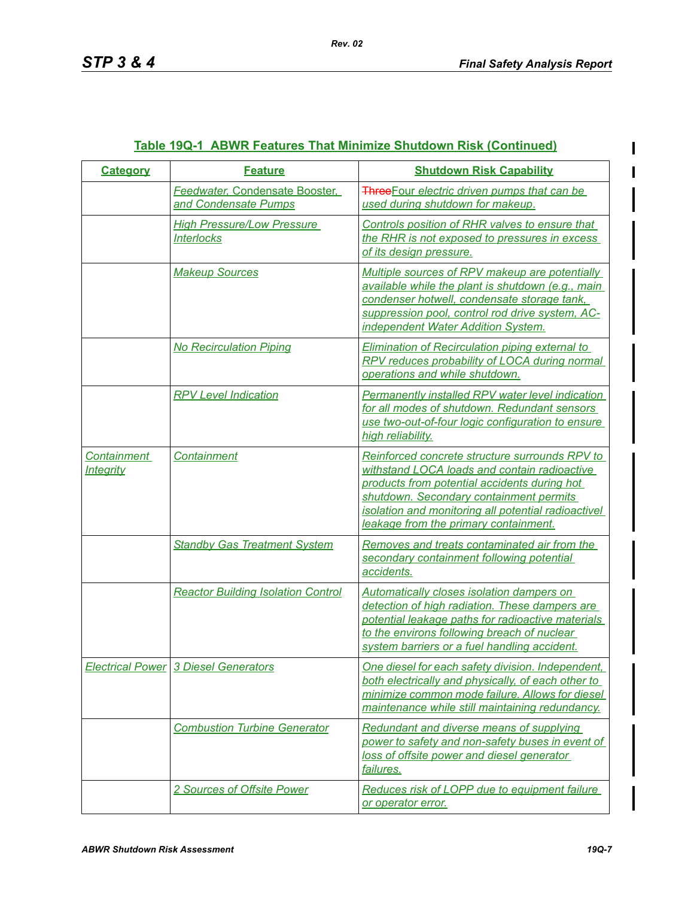| <b>Category</b>                        | <b>Feature</b>                                         | <b>Shutdown Risk Capability</b>                                                                                                                                                                                                                                                           |
|----------------------------------------|--------------------------------------------------------|-------------------------------------------------------------------------------------------------------------------------------------------------------------------------------------------------------------------------------------------------------------------------------------------|
|                                        | Feedwater, Condensate Booster,<br>and Condensate Pumps | <b>Three</b> Four electric driven pumps that can be<br>used during shutdown for makeup.                                                                                                                                                                                                   |
|                                        | <b>High Pressure/Low Pressure</b><br><b>Interlocks</b> | Controls position of RHR valves to ensure that<br>the RHR is not exposed to pressures in excess<br>of its design pressure.                                                                                                                                                                |
|                                        | <b>Makeup Sources</b>                                  | Multiple sources of RPV makeup are potentially<br>available while the plant is shutdown (e.g., main<br>condenser hotwell, condensate storage tank,<br>suppression pool, control rod drive system, AC-<br>independent Water Addition System.                                               |
|                                        | <b>No Recirculation Piping</b>                         | <b>Elimination of Recirculation piping external to</b><br>RPV reduces probability of LOCA during normal<br>operations and while shutdown.                                                                                                                                                 |
|                                        | <b>RPV Level Indication</b>                            | Permanently installed RPV water level indication<br>for all modes of shutdown. Redundant sensors<br>use two-out-of-four logic configuration to ensure<br>high reliability.                                                                                                                |
| <b>Containment</b><br><u>Integrity</u> | Containment                                            | Reinforced concrete structure surrounds RPV to<br>withstand LOCA loads and contain radioactive<br>products from potential accidents during hot<br>shutdown. Secondary containment permits<br>isolation and monitoring all potential radioactivel<br>leakage from the primary containment. |
|                                        | <b>Standby Gas Treatment System</b>                    | Removes and treats contaminated air from the<br>secondary containment following potential<br>accidents.                                                                                                                                                                                   |
|                                        | <b>Reactor Building Isolation Control</b>              | Automatically closes isolation dampers on<br>detection of high radiation. These dampers are<br>potential leakage paths for radioactive materials<br>to the environs following breach of nuclear<br>system barriers or a fuel handling accident.                                           |
|                                        | <b>Electrical Power 3 Diesel Generators</b>            | One diesel for each safety division. Independent,<br>both electrically and physically, of each other to<br>minimize common mode failure. Allows for diesel<br>maintenance while still maintaining redundancy.                                                                             |
|                                        | <b>Combustion Turbine Generator</b>                    | Redundant and diverse means of supplying<br>power to safety and non-safety buses in event of<br>loss of offsite power and diesel generator<br>failures.                                                                                                                                   |
|                                        | 2 Sources of Offsite Power                             | <b>Reduces risk of LOPP due to equipment failure</b><br>or operator error.                                                                                                                                                                                                                |

# **Table 19Q-1 ABWR Features That Minimize Shutdown Risk (Continued)**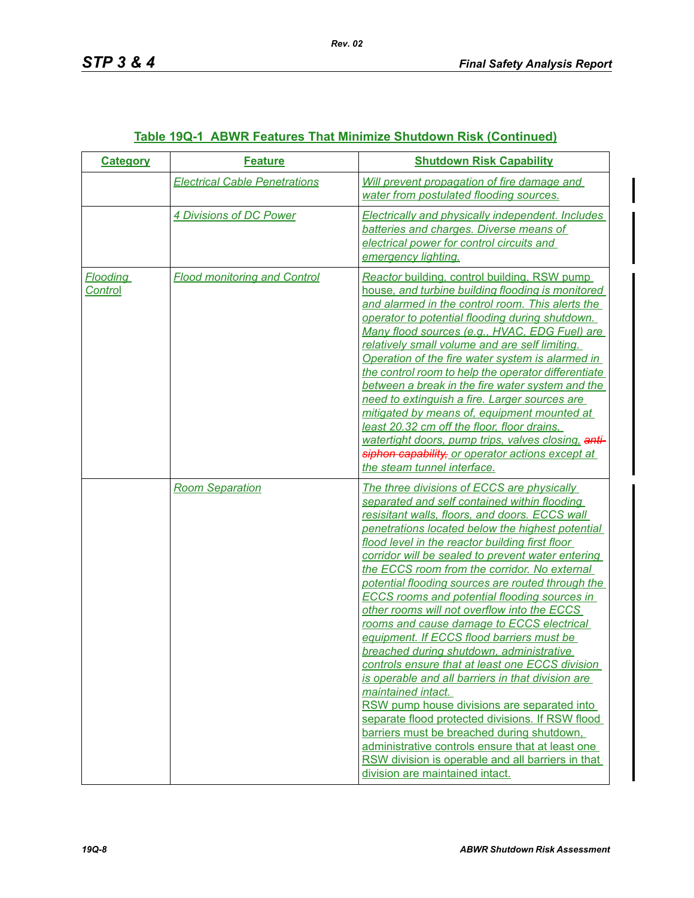| <b>Category</b>            | <b>Feature</b>                       | <b>Shutdown Risk Capability</b>                                                                                                                                                                                                                                                                                                                                                                                                                                                                                                                                                                                                                                                                                                                                                                                                                                                                                                                                                                                                                                                      |
|----------------------------|--------------------------------------|--------------------------------------------------------------------------------------------------------------------------------------------------------------------------------------------------------------------------------------------------------------------------------------------------------------------------------------------------------------------------------------------------------------------------------------------------------------------------------------------------------------------------------------------------------------------------------------------------------------------------------------------------------------------------------------------------------------------------------------------------------------------------------------------------------------------------------------------------------------------------------------------------------------------------------------------------------------------------------------------------------------------------------------------------------------------------------------|
|                            | <b>Electrical Cable Penetrations</b> | Will prevent propagation of fire damage and<br>water from postulated flooding sources.                                                                                                                                                                                                                                                                                                                                                                                                                                                                                                                                                                                                                                                                                                                                                                                                                                                                                                                                                                                               |
|                            | 4 Divisions of DC Power              | <b>Electrically and physically independent. Includes</b><br>batteries and charges. Diverse means of<br>electrical power for control circuits and<br>emergency lighting.                                                                                                                                                                                                                                                                                                                                                                                                                                                                                                                                                                                                                                                                                                                                                                                                                                                                                                              |
| <b>Flooding</b><br>Control | <b>Flood monitoring and Control</b>  | Reactor building, control building, RSW pump<br>house, and turbine building flooding is monitored<br>and alarmed in the control room. This alerts the<br>operator to potential flooding during shutdown.<br>Many flood sources (e.g., HVAC, EDG Fuel) are<br>relatively small volume and are self limiting.<br>Operation of the fire water system is alarmed in<br>the control room to help the operator differentiate<br>between a break in the fire water system and the<br>need to extinguish a fire. Larger sources are<br>mitigated by means of, equipment mounted at<br>least 20.32 cm off the floor, floor drains,<br>watertight doors, pump trips, valves closing, anti-<br>siphon capability, or operator actions except at<br>the steam tunnel interface.                                                                                                                                                                                                                                                                                                                  |
|                            | <b>Room Separation</b>               | The three divisions of ECCS are physically<br>separated and self contained within flooding<br>resisitant walls, floors, and doors. ECCS wall<br>penetrations located below the highest potential<br>flood level in the reactor building first floor<br>corridor will be sealed to prevent water entering<br>the ECCS room from the corridor. No external<br>potential flooding sources are routed through the<br><b>ECCS rooms and potential flooding sources in</b><br>other rooms will not overflow into the ECCS<br>rooms and cause damage to ECCS electrical<br>equipment. If ECCS flood barriers must be<br>breached during shutdown, administrative<br>controls ensure that at least one ECCS division<br>is operable and all barriers in that division are<br>maintained intact.<br>RSW pump house divisions are separated into<br>separate flood protected divisions. If RSW flood<br>barriers must be breached during shutdown,<br>administrative controls ensure that at least one<br>RSW division is operable and all barriers in that<br>division are maintained intact. |

# **Table 19Q-1 ABWR Features That Minimize Shutdown Risk (Continued)**

*Rev. 02*